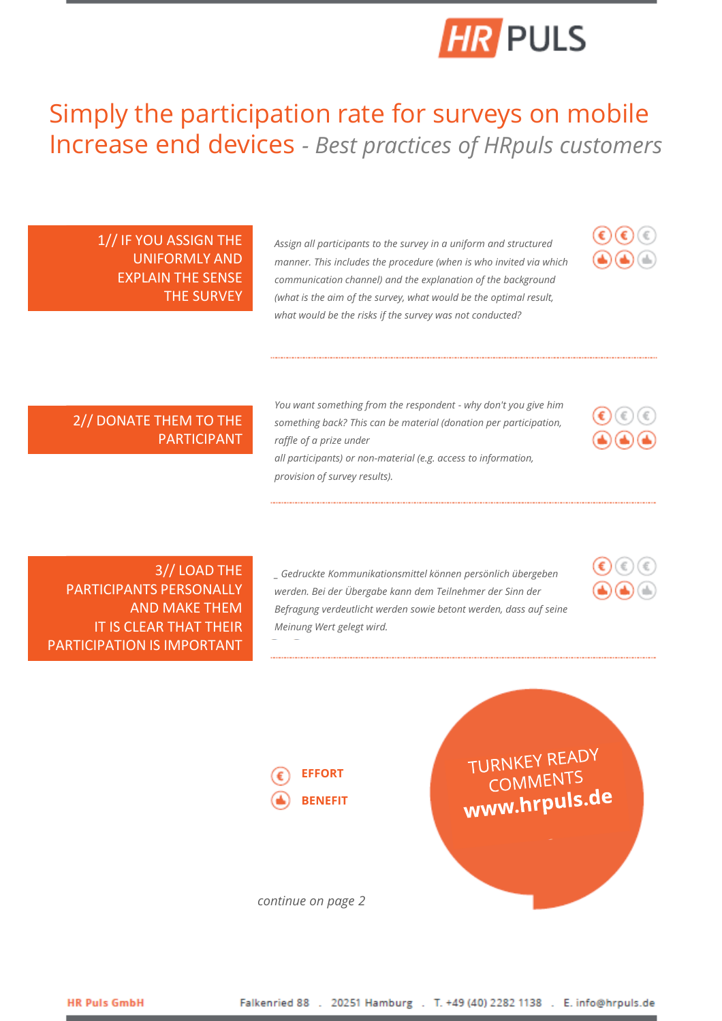

## Simply the participation rate for surveys on mobile Increase end devices *- Best practices of HRpuls customers*

1// IF YOU ASSIGN THE UNIFORMLY AND EXPLAIN THE SENSE THE SURVEY

*Assign all participants to the survey in a uniform and structured manner. This includes the procedure (when is who invited via which communication channel) and the explanation of the background (what is the aim of the survey, what would be the optimal result, what would be the risks if the survey was not conducted?*



### 2// DONATE THEM TO THE PARTICIPANT

*You want something from the respondent - why don't you give him something back? This can be material (donation per participation, raffle of a prize under all participants) or non-material (e.g. access to information,* 

*provision of survey results).*



3// LOAD THE PARTICIPANTS PERSONALLY AND MAKE THEM IT IS CLEAR THAT THEIR PARTICIPATION IS IMPORTANT

*\_ Gedruckte Kommunikationsmittel können persönlich übergeben werden. Bei der Übergabe kann dem Teilnehmer der Sinn der Befragung verdeutlicht werden sowie betont werden, dass auf seine Meinung Wert gelegt wird.*



TURNKEY READY COMMENTS www.hrpuls.de

*continue on page 2*

**EFFORT BENEFIT**